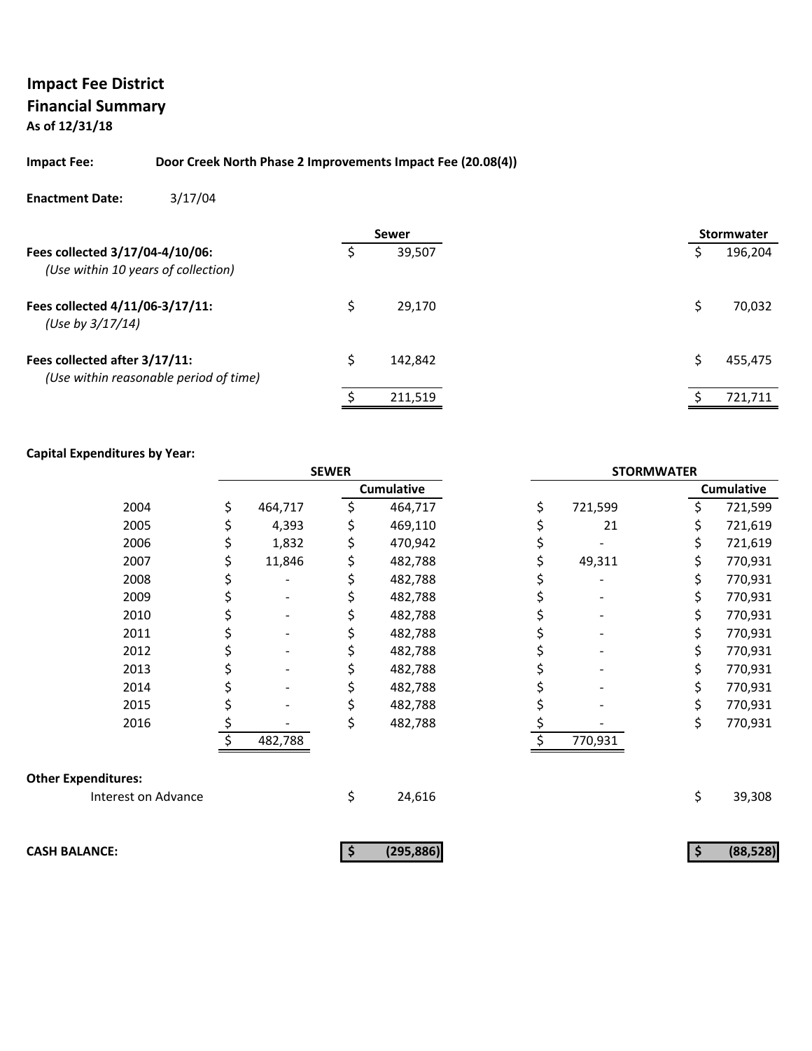## **Impact Fee: Door Creek North Phase 2 Improvements Impact Fee (20.08(4))**

#### **Enactment Date:** 3/17/04

|                                                                         |   | <b>Sewer</b> |  | <b>Stormwater</b> |
|-------------------------------------------------------------------------|---|--------------|--|-------------------|
| Fees collected 3/17/04-4/10/06:<br>(Use within 10 years of collection)  |   | 39,507       |  | 196,204           |
| Fees collected 4/11/06-3/17/11:<br>(Use by 3/17/14)                     |   | 29.170       |  | 70,032            |
| Fees collected after 3/17/11:<br>(Use within reasonable period of time) | Ś | 142.842      |  | 455,475           |
|                                                                         |   | 211,519      |  | 721,711           |

|                            |               | <b>SEWER</b> |                   | <b>STORMWATER</b> |         |    |                   |  |
|----------------------------|---------------|--------------|-------------------|-------------------|---------|----|-------------------|--|
|                            |               |              | <b>Cumulative</b> |                   |         |    | <b>Cumulative</b> |  |
| 2004                       | \$<br>464,717 |              | 464,717           | \$                | 721,599 |    | 721,599           |  |
| 2005                       | 4,393         |              | 469,110           |                   | 21      | \$ | 721,619           |  |
| 2006                       | 1,832         |              | 470,942           |                   |         | \$ | 721,619           |  |
| 2007                       | 11,846        | \$           | 482,788           |                   | 49,311  | \$ | 770,931           |  |
| 2008                       |               |              | 482,788           |                   |         | \$ | 770,931           |  |
| 2009                       |               |              | 482,788           |                   |         | \$ | 770,931           |  |
| 2010                       |               |              | 482,788           |                   |         | \$ | 770,931           |  |
| 2011                       |               |              | 482,788           |                   |         | \$ | 770,931           |  |
| 2012                       |               |              | 482,788           |                   |         | \$ | 770,931           |  |
| 2013                       |               |              | 482,788           |                   |         | \$ | 770,931           |  |
| 2014                       |               |              | 482,788           |                   |         | \$ | 770,931           |  |
| 2015                       |               |              | 482,788           |                   |         | \$ | 770,931           |  |
| 2016                       |               | \$           | 482,788           |                   |         | \$ | 770,931           |  |
|                            | 482,788       |              |                   |                   | 770,931 |    |                   |  |
| <b>Other Expenditures:</b> |               |              |                   |                   |         |    |                   |  |
| Interest on Advance        |               | \$           | 24,616            |                   |         | \$ | 39,308            |  |
|                            |               |              |                   |                   |         |    |                   |  |
| <b>CASH BALANCE:</b>       |               | \$           | (295, 886)        |                   |         | \$ | (88, 528)         |  |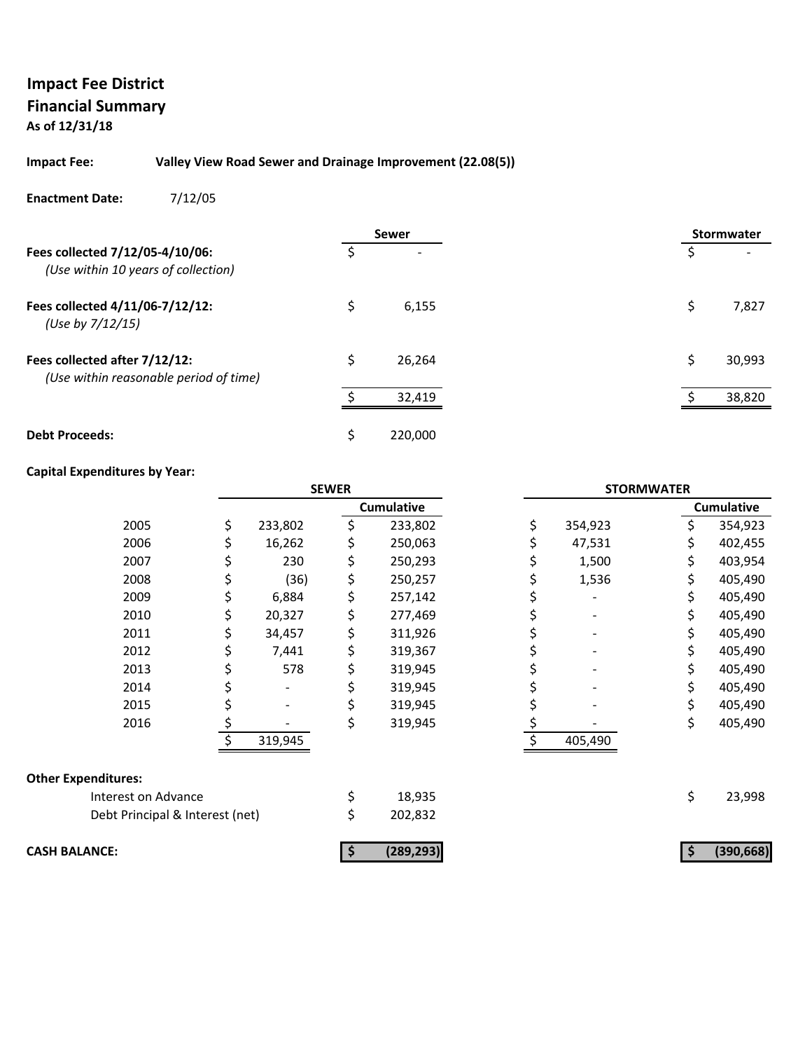#### **Impact Fee: Valley View Road Sewer and Drainage Improvement (22.08(5))**

#### **Enactment Date:** 7/12/05

|                                                                         |    | <b>Sewer</b> |   | <b>Stormwater</b> |
|-------------------------------------------------------------------------|----|--------------|---|-------------------|
| Fees collected 7/12/05-4/10/06:<br>(Use within 10 years of collection)  |    |              |   |                   |
| Fees collected 4/11/06-7/12/12:<br>(Use by 7/12/15)                     | Ś  | 6,155        | Ś | 7,827             |
| Fees collected after 7/12/12:<br>(Use within reasonable period of time) | Ś. | 26,264       | Ś | 30,993            |
|                                                                         | ¢  | 32,419       |   | 38,820            |
| <b>Debt Proceeds:</b>                                                   | Ś  | 220,000      |   |                   |

|                                 |    |         | <b>SEWER</b> |                   | <b>STORMWATER</b> |     |                   |
|---------------------------------|----|---------|--------------|-------------------|-------------------|-----|-------------------|
|                                 |    |         |              | <b>Cumulative</b> |                   |     | <b>Cumulative</b> |
| 2005                            | \$ | 233,802 | \$           | 233,802           | \$<br>354,923     | Ś.  | 354,923           |
| 2006                            |    | 16,262  | \$           | 250,063           | 47,531            |     | 402,455           |
| 2007                            | Ş  | 230     | \$           | 250,293           | 1,500             | \$  | 403,954           |
| 2008                            | \$ | (36)    | \$           | 250,257           | 1,536             | \$  | 405,490           |
| 2009                            | \$ | 6,884   | \$           | 257,142           |                   | S   | 405,490           |
| 2010                            | \$ | 20,327  | \$           | 277,469           |                   |     | 405,490           |
| 2011                            | \$ | 34,457  | \$           | 311,926           |                   | S.  | 405,490           |
| 2012                            | \$ | 7,441   | \$           | 319,367           |                   | \$. | 405,490           |
| 2013                            | Ş  | 578     | \$           | 319,945           |                   | S.  | 405,490           |
| 2014                            |    |         |              | 319,945           |                   |     | 405,490           |
| 2015                            |    |         | \$           | 319,945           |                   | \$  | 405,490           |
| 2016                            | \$ |         | \$           | 319,945           |                   | \$  | 405,490           |
|                                 |    | 319,945 |              |                   | 405,490           |     |                   |
| <b>Other Expenditures:</b>      |    |         |              |                   |                   |     |                   |
| Interest on Advance             |    |         | \$           | 18,935            |                   | \$  | 23,998            |
| Debt Principal & Interest (net) |    |         | \$           | 202,832           |                   |     |                   |
| <b>CASH BALANCE:</b>            |    |         |              | (289, 293)        |                   |     | (390, 668)        |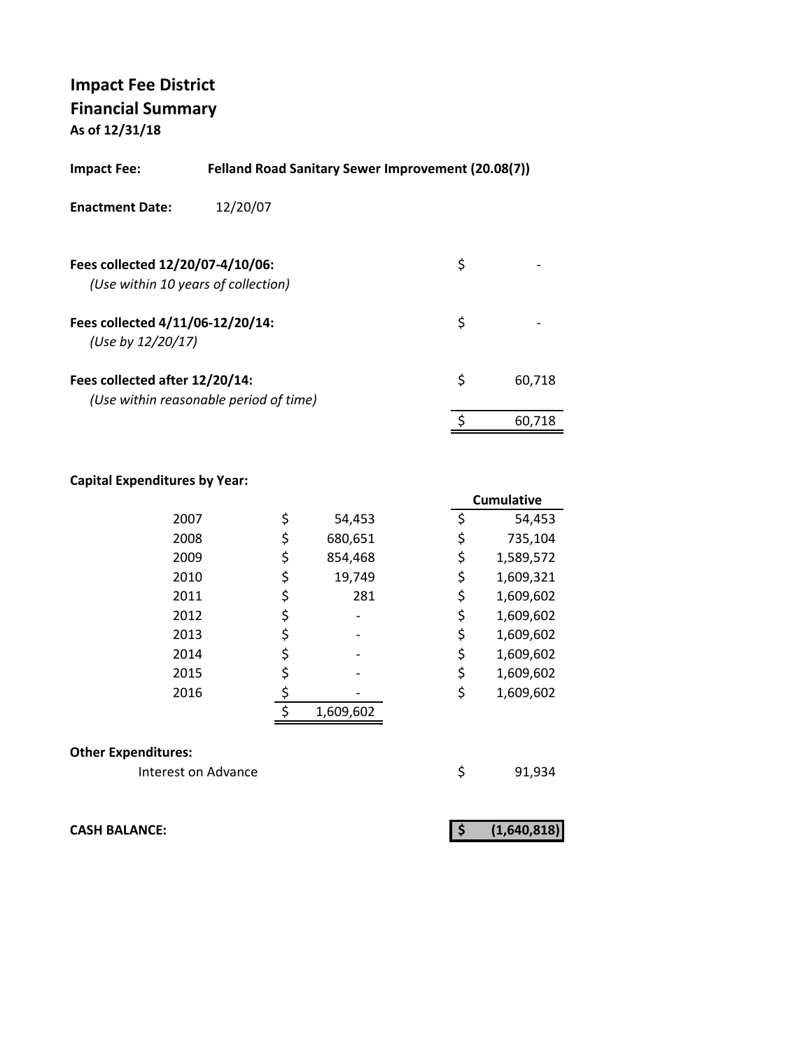| Felland Road Sanitary Sewer Improvement (20.08(7))<br>Impact Fee: |                                        |    |        |  |  |  |
|-------------------------------------------------------------------|----------------------------------------|----|--------|--|--|--|
| <b>Enactment Date:</b>                                            | 12/20/07                               |    |        |  |  |  |
| Fees collected 12/20/07-4/10/06:                                  | (Use within 10 years of collection)    | \$ |        |  |  |  |
| Fees collected 4/11/06-12/20/14:<br>(Use by 12/20/17)             |                                        | \$ |        |  |  |  |
| Fees collected after 12/20/14:                                    | (Use within reasonable period of time) | \$ | 60.718 |  |  |  |
|                                                                   |                                        | \$ | 60.718 |  |  |  |

## **Capital Expenditures by Year:**

|      |               | <b>Cumulative</b> |
|------|---------------|-------------------|
| 2007 | \$<br>54,453  | \$<br>54,453      |
| 2008 | \$<br>680,651 | \$<br>735,104     |
| 2009 | \$<br>854,468 | \$<br>1,589,572   |
| 2010 | \$<br>19,749  | \$<br>1,609,321   |
| 2011 | \$<br>281     | \$<br>1,609,602   |
| 2012 |               | \$<br>1,609,602   |
| 2013 |               | \$<br>1,609,602   |
| 2014 |               | \$<br>1,609,602   |
| 2015 |               | \$<br>1,609,602   |
| 2016 |               | \$<br>1,609,602   |
|      | 1,609,602     |                   |

#### **Other Expenditures:**

Interest on Advance **1920** \$91,934

**CASH BALANCE: (1,640,818) \$**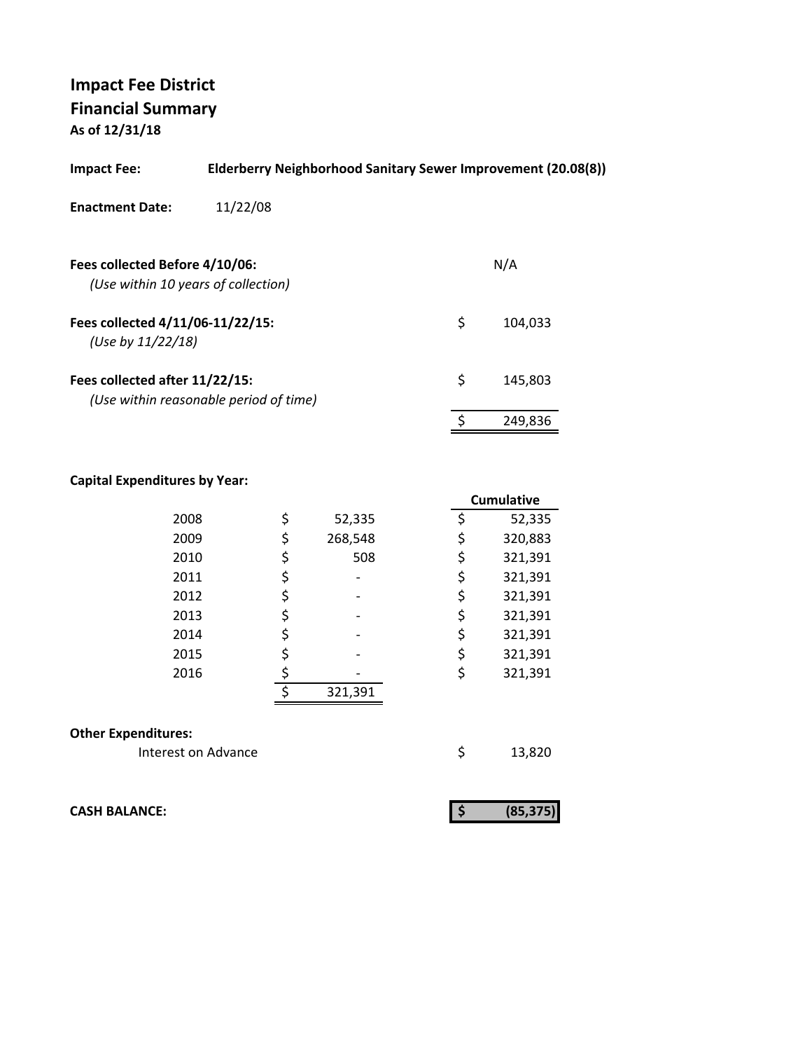| <b>Impact Fee:</b>                                                    | Elderberry Neighborhood Sanitary Sewer Improvement (20.08(8)) |               |
|-----------------------------------------------------------------------|---------------------------------------------------------------|---------------|
| <b>Enactment Date:</b>                                                | 11/22/08                                                      |               |
| Fees collected Before 4/10/06:<br>(Use within 10 years of collection) |                                                               | N/A           |
| Fees collected 4/11/06-11/22/15:<br>(Use by $11/22/18$ )              |                                                               | \$<br>104.033 |
| Fees collected after 11/22/15:                                        | (Use within reasonable period of time)                        | \$<br>145,803 |
|                                                                       |                                                               | 249,836       |

## **Capital Expenditures by Year:**

|                            |    |         | <b>Cumulative</b> |         |
|----------------------------|----|---------|-------------------|---------|
| 2008                       | \$ | 52,335  | \$                | 52,335  |
| 2009                       | \$ | 268,548 | \$                | 320,883 |
| 2010                       | \$ | 508     | \$                | 321,391 |
| 2011                       | \$ |         | \$                | 321,391 |
| 2012                       | \$ |         | \$                | 321,391 |
| 2013                       | \$ |         | \$                | 321,391 |
| 2014                       | \$ |         | \$                | 321,391 |
| 2015                       | \$ |         | \$                | 321,391 |
| 2016                       | \$ |         | \$                | 321,391 |
|                            | ς  | 321,391 |                   |         |
|                            |    |         |                   |         |
| <b>Other Expenditures:</b> |    |         |                   |         |
| Interest on Advance        |    |         | \$                | 13,820  |

**CASH BALANCE:**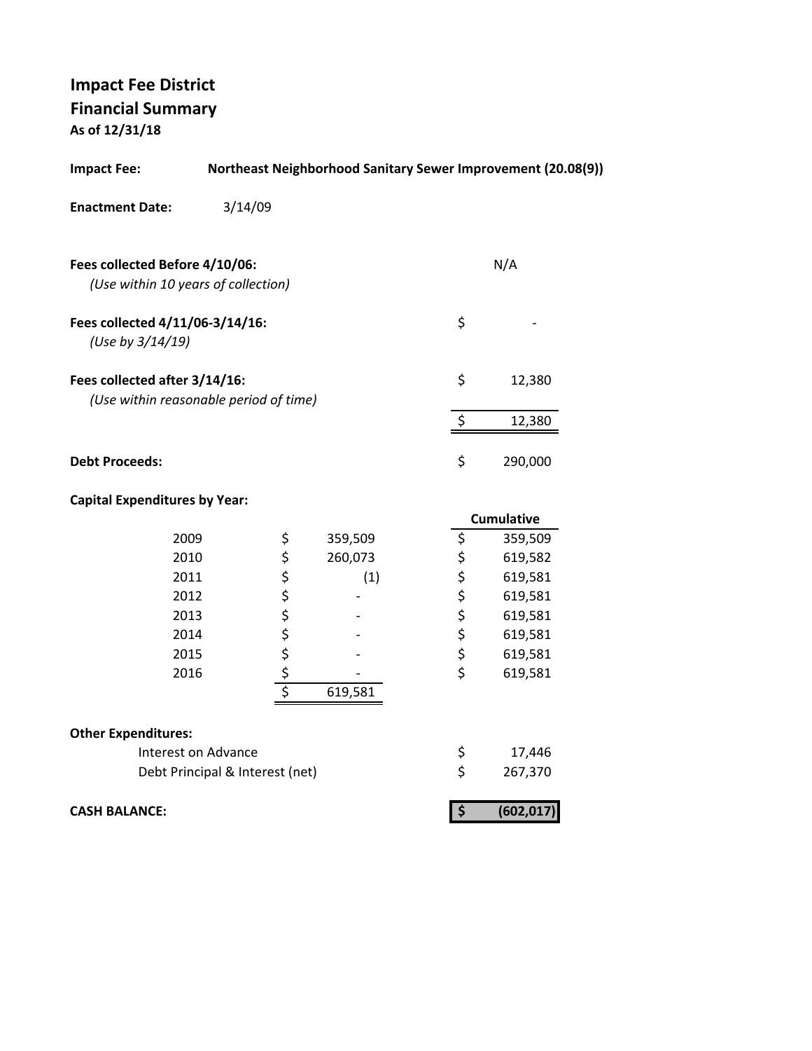**Impact Fee: Northeast Neighborhood Sanitary Sewer Improvement (20.08(9)) Enactment Date:** 3/14/09 **Fees collected Before 4/10/06:** N/A  *(Use within 10 years of collection)* **Fees collected 4/11/06‐3/14/16:** \$ ‐  *(Use by 3/14/19)* **Fees collected after 3/14/16:** \$ 12,380  *(Use within reasonable period of time)*  $\frac{12,380}{ }$ **Debt Proceeds:** \$ 290,000 **Capital Expenditures by Year: Cumulative** 2009 \$ 359,509 \$ 359,509 2010 260,073 \$ \$ 619,582 2011 \$ (1) \$ 619,581 2012 \$<br>
2013 \$<br>
2014 \$<br>
2014 \$<br>
2015 \$<br>
2015 \$<br>
2015 \$<br>
2015 \$<br>
2019 \$<br>
2015 \$<br>
2019 \$<br>
2019 \$<br>
2019 \$<br>
2019 \$<br>
2019 \$<br>
2019 \$<br>
2019 \$ 2013 \$ ‐ \$ 619,581 2014 \$ ‐ \$ 619,581 2015 \$ ‐ \$ 619,581  $2016$  \$  $\frac{1}{2016}$  \$ 619,581

| <b>CASH BALANCE:</b>            |         |    | (602, 017) |
|---------------------------------|---------|----|------------|
| Debt Principal & Interest (net) |         | S. | 267,370    |
| Interest on Advance             |         |    | 17,446     |
| <b>Other Expenditures:</b>      |         |    |            |
|                                 | 619,581 |    |            |
|                                 |         |    |            |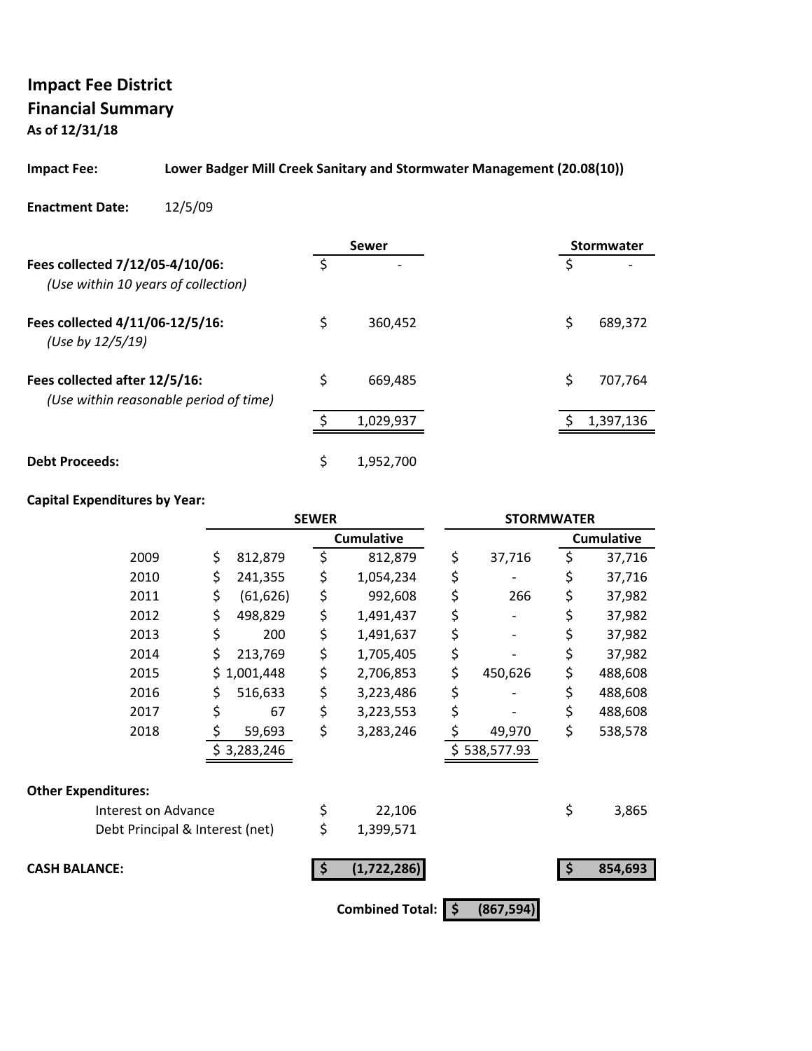## **Impact Fee: Lower Badger Mill Creek Sanitary and Stormwater Management (20.08(10))**

#### **Enactment Date:** 12/5/09

|                                                                         |    | Sewer                    |    | Stormwater |
|-------------------------------------------------------------------------|----|--------------------------|----|------------|
| Fees collected 7/12/05-4/10/06:<br>(Use within 10 years of collection)  | Ś  | $\overline{\phantom{0}}$ | S  |            |
| Fees collected 4/11/06-12/5/16:<br>(Use by 12/5/19)                     | \$ | 360,452                  | \$ | 689,372    |
| Fees collected after 12/5/16:<br>(Use within reasonable period of time) | \$ | 669.485                  | \$ | 707,764    |
|                                                                         |    | 1,029,937                |    | 1,397,136  |
| <b>Debt Proceeds:</b>                                                   | \$ | 1,952,700                |    |            |

|                                 |                 | <b>SEWER</b> |                        | <b>STORMWATER</b> |                   |
|---------------------------------|-----------------|--------------|------------------------|-------------------|-------------------|
|                                 |                 |              | <b>Cumulative</b>      |                   | <b>Cumulative</b> |
| 2009                            | \$<br>812,879   | \$           | 812,879                | \$<br>37,716      | \$<br>37,716      |
| 2010                            | \$<br>241,355   | \$           | 1,054,234              | \$                | \$<br>37,716      |
| 2011                            | \$<br>(61, 626) | \$           | 992,608                | \$<br>266         | \$<br>37,982      |
| 2012                            | \$<br>498,829   | \$           | 1,491,437              | \$                | \$<br>37,982      |
| 2013                            | \$<br>200       | \$           | 1,491,637              | \$                | \$<br>37,982      |
| 2014                            | \$<br>213,769   | \$           | 1,705,405              | \$                | \$<br>37,982      |
| 2015                            | \$1,001,448     | \$           | 2,706,853              | \$<br>450,626     | \$<br>488,608     |
| 2016                            | \$<br>516,633   | \$           | 3,223,486              | \$                | \$<br>488,608     |
| 2017                            | \$<br>67        | \$           | 3,223,553              | \$                | \$<br>488,608     |
| 2018                            | \$<br>59,693    | \$           | 3,283,246              | \$<br>49,970      | \$<br>538,578     |
|                                 | \$3,283,246     |              |                        | \$538,577.93      |                   |
| <b>Other Expenditures:</b>      |                 |              |                        |                   |                   |
| Interest on Advance             |                 | \$           | 22,106                 |                   | \$<br>3,865       |
| Debt Principal & Interest (net) |                 | \$           | 1,399,571              |                   |                   |
| <b>CASH BALANCE:</b>            |                 |              | (1,722,286)            |                   | 854,693           |
|                                 |                 |              | <b>Combined Total:</b> | \$<br>(867, 594)  |                   |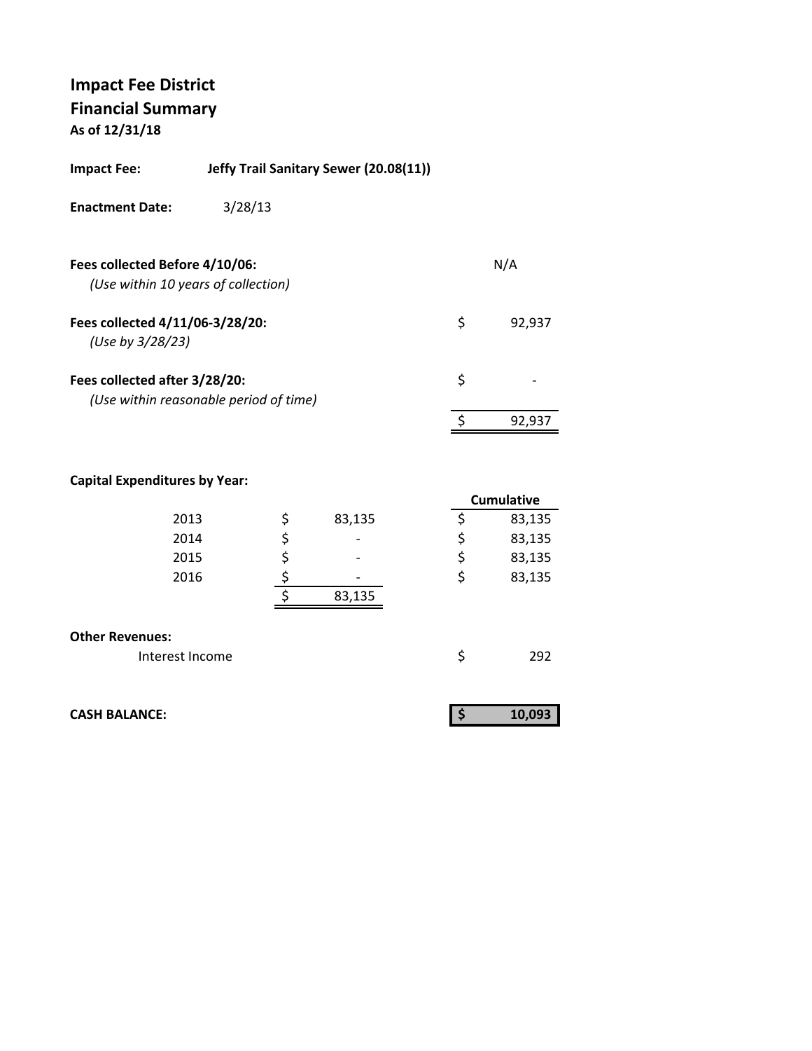| Impact Fee: | Jeffy Trail Sanitary Sewer (20.08(11)) |
|-------------|----------------------------------------|
|             |                                        |

**Enactment Date:** 3/28/13

| Fees collected Before 4/10/06:<br>(Use within 10 years of collection)   |   | N/A    |
|-------------------------------------------------------------------------|---|--------|
| Fees collected 4/11/06-3/28/20:<br>(Use by 3/28/23)                     | S | 92.937 |
| Fees collected after 3/28/20:<br>(Use within reasonable period of time) | Ś |        |
|                                                                         |   | 92.937 |

|                        |              |    | <b>Cumulative</b> |
|------------------------|--------------|----|-------------------|
| 2013                   | \$<br>83,135 |    | 83,135            |
| 2014                   | \$           | \$ | 83,135            |
| 2015                   | \$           | \$ | 83,135            |
| 2016                   |              | \$ | 83,135            |
|                        | 83,135       |    |                   |
|                        |              |    |                   |
| <b>Other Revenues:</b> |              |    |                   |
| Interest Income        |              | Ś  | 292               |

| <b>CASH BALANCE:</b> | 10,093 |
|----------------------|--------|
|                      |        |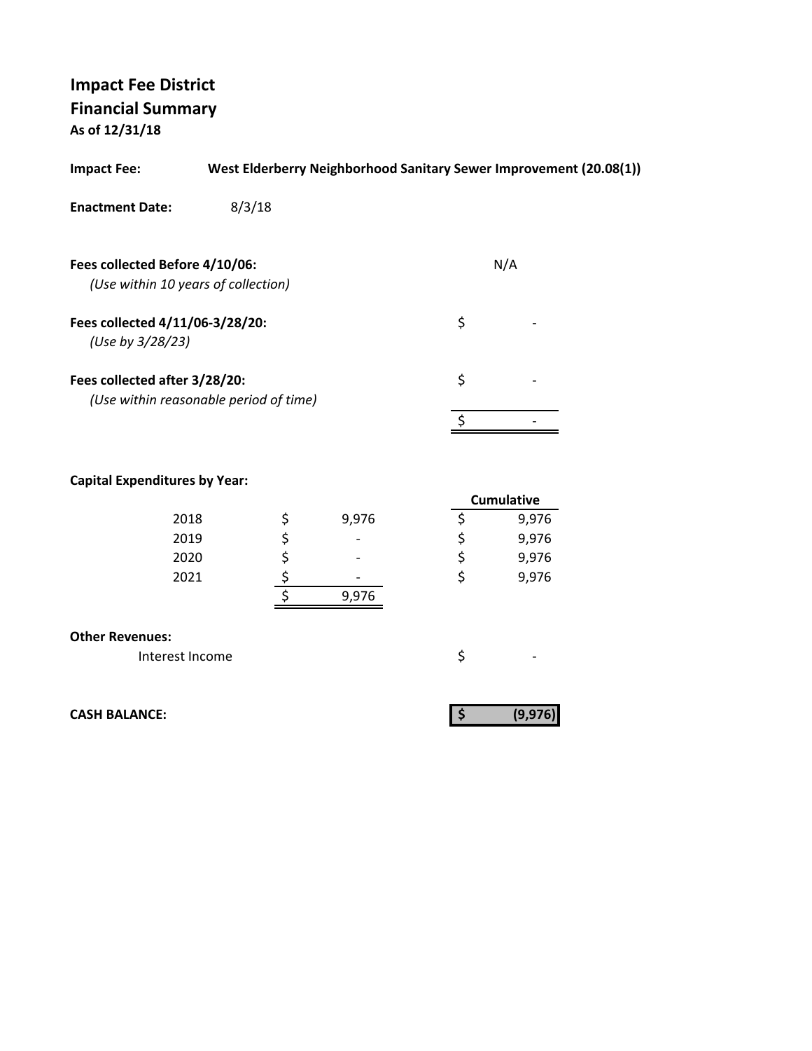| <b>Impact Fee:</b>                                  | West Elderberry Neighborhood Sanitary Sewer Improvement (20.08(1)) |     |  |
|-----------------------------------------------------|--------------------------------------------------------------------|-----|--|
| <b>Enactment Date:</b>                              | 8/3/18                                                             |     |  |
| Fees collected Before 4/10/06:                      | (Use within 10 years of collection)                                | N/A |  |
| Fees collected 4/11/06-3/28/20:<br>(Use by 3/28/23) |                                                                    | \$  |  |
| Fees collected after 3/28/20:                       | (Use within reasonable period of time)                             | \$  |  |
|                                                     |                                                                    |     |  |

## **Capital Expenditures by Year:**

|      |                          | <b>Cumulative</b> |
|------|--------------------------|-------------------|
| 2018 | 9,976                    | 9,976             |
| 2019 | $\overline{\phantom{a}}$ | 9,976             |
| 2020 | $\overline{\phantom{0}}$ | 9,976             |
| 2021 | $\overline{\phantom{0}}$ | 9,976             |
|      | 9,976                    |                   |
|      |                          |                   |

#### **Other Revenues:**

| Interest Income |  |
|-----------------|--|
|                 |  |

**CASH BALANCE: (9,976) \$**